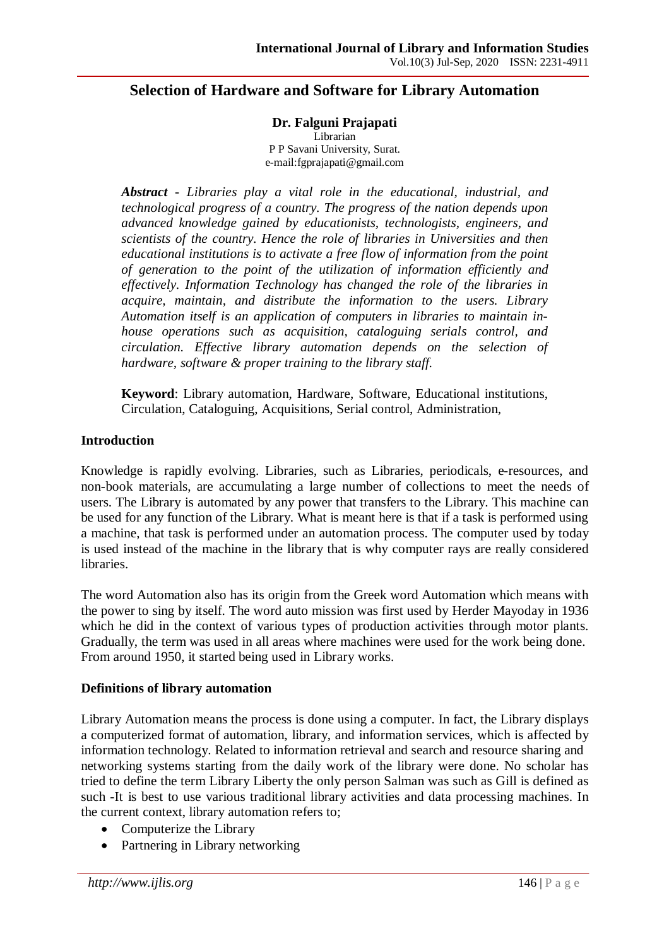# **Selection of Hardware and Software for Library Automation**

# **Dr. Falguni Prajapati**

Librarian P P Savani University, Surat. e-mail:fgprajapati@gmail.com

*Abstract - Libraries play a vital role in the educational, industrial, and technological progress of a country. The progress of the nation depends upon advanced knowledge gained by educationists, technologists, engineers, and scientists of the country. Hence the role of libraries in Universities and then educational institutions is to activate a free flow of information from the point of generation to the point of the utilization of information efficiently and effectively. Information Technology has changed the role of the libraries in acquire, maintain, and distribute the information to the users. Library Automation itself is an application of computers in libraries to maintain inhouse operations such as acquisition, cataloguing serials control, and circulation. Effective library automation depends on the selection of hardware, software & proper training to the library staff.*

**Keyword**: Library automation, Hardware, Software, Educational institutions, Circulation, Cataloguing, Acquisitions, Serial control, Administration,

## **Introduction**

Knowledge is rapidly evolving. Libraries, such as Libraries, periodicals, e-resources, and non-book materials, are accumulating a large number of collections to meet the needs of users. The Library is automated by any power that transfers to the Library. This machine can be used for any function of the Library. What is meant here is that if a task is performed using a machine, that task is performed under an automation process. The computer used by today is used instead of the machine in the library that is why computer rays are really considered libraries.

The word Automation also has its origin from the Greek word Automation which means with the power to sing by itself. The word auto mission was first used by Herder Mayoday in 1936 which he did in the context of various types of production activities through motor plants. Gradually, the term was used in all areas where machines were used for the work being done. From around 1950, it started being used in Library works.

## **Definitions of library automation**

Library Automation means the process is done using a computer. In fact, the Library displays a computerized format of automation, library, and information services, which is affected by information technology. Related to information retrieval and search and resource sharing and networking systems starting from the daily work of the library were done. No scholar has tried to define the term Library Liberty the only person Salman was such as Gill is defined as such -It is best to use various traditional library activities and data processing machines. In the current context, library automation refers to;

- Computerize the Library
- Partnering in Library networking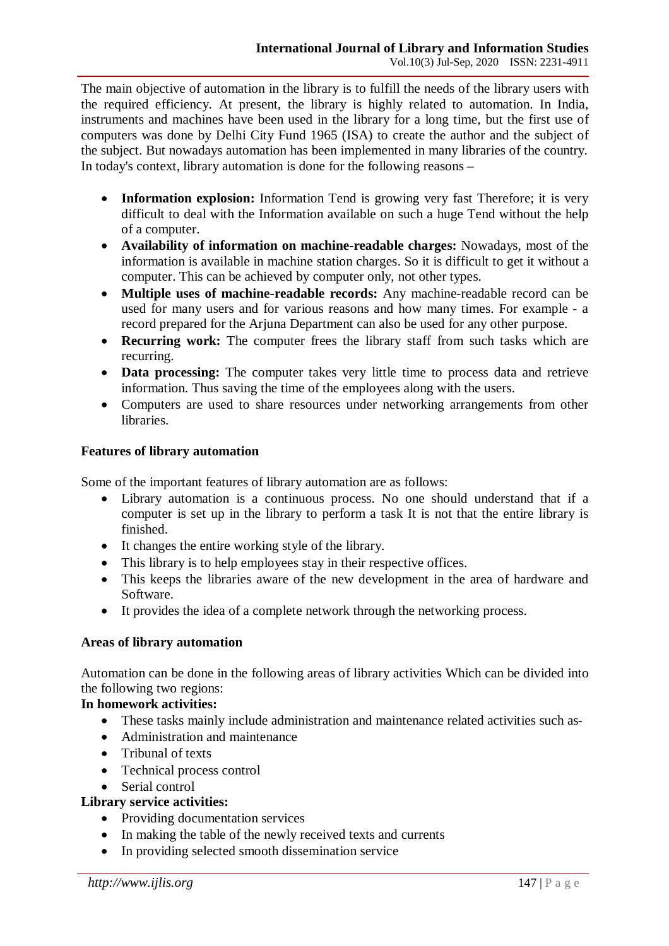The main objective of automation in the library is to fulfill the needs of the library users with the required efficiency. At present, the library is highly related to automation. In India, instruments and machines have been used in the library for a long time, but the first use of computers was done by Delhi City Fund 1965 (ISA) to create the author and the subject of the subject. But nowadays automation has been implemented in many libraries of the country. In today's context, library automation is done for the following reasons –

- **Information explosion:** Information Tend is growing very fast Therefore; it is very difficult to deal with the Information available on such a huge Tend without the help of a computer.
- **Availability of information on machine-readable charges:** Nowadays, most of the information is available in machine station charges. So it is difficult to get it without a computer. This can be achieved by computer only, not other types.
- **Multiple uses of machine-readable records:** Any machine-readable record can be used for many users and for various reasons and how many times. For example - a record prepared for the Arjuna Department can also be used for any other purpose.
- **Recurring work:** The computer frees the library staff from such tasks which are recurring.
- **Data processing:** The computer takes very little time to process data and retrieve information. Thus saving the time of the employees along with the users.
- Computers are used to share resources under networking arrangements from other libraries.

# **Features of library automation**

Some of the important features of library automation are as follows:

- Library automation is a continuous process. No one should understand that if a computer is set up in the library to perform a task It is not that the entire library is finished.
- It changes the entire working style of the library.
- This library is to help employees stay in their respective offices.
- This keeps the libraries aware of the new development in the area of hardware and Software.
- It provides the idea of a complete network through the networking process.

# **Areas of library automation**

Automation can be done in the following areas of library activities Which can be divided into the following two regions:

# **In homework activities:**

- These tasks mainly include administration and maintenance related activities such as-
- Administration and maintenance
- Tribunal of texts
- Technical process control
- Serial control

# **Library service activities:**

- Providing documentation services
- In making the table of the newly received texts and currents
- In providing selected smooth dissemination service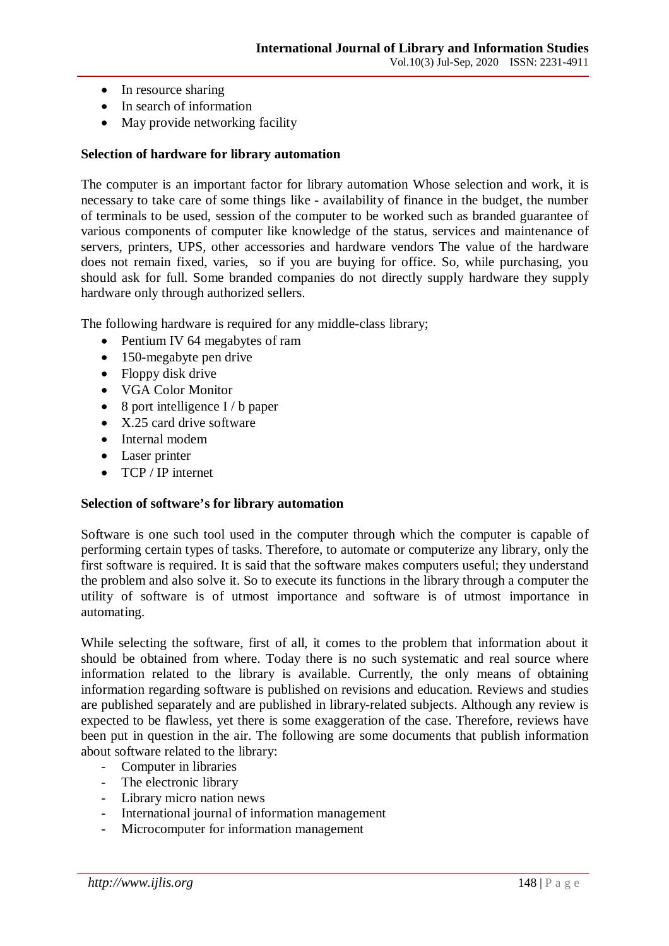- In resource sharing
- In search of information
- May provide networking facility

## **Selection of hardware for library automation**

The computer is an important factor for library automation Whose selection and work, it is necessary to take care of some things like - availability of finance in the budget, the number of terminals to be used, session of the computer to be worked such as branded guarantee of various components of computer like knowledge of the status, services and maintenance of servers, printers, UPS, other accessories and hardware vendors The value of the hardware does not remain fixed, varies, so if you are buying for office. So, while purchasing, you should ask for full. Some branded companies do not directly supply hardware they supply hardware only through authorized sellers.

The following hardware is required for any middle-class library;

- Pentium IV 64 megabytes of ram
- 150-megabyte pen drive
- $\bullet$  Floppy disk drive
- VGA Color Monitor
- $\bullet$  8 port intelligence I / b paper
- X.25 card drive software
- Internal modem
- Laser printer
- TCP / IP internet

## **Selection of software's for library automation**

Software is one such tool used in the computer through which the computer is capable of performing certain types of tasks. Therefore, to automate or computerize any library, only the first software is required. It is said that the software makes computers useful; they understand the problem and also solve it. So to execute its functions in the library through a computer the utility of software is of utmost importance and software is of utmost importance in automating.

While selecting the software, first of all, it comes to the problem that information about it should be obtained from where. Today there is no such systematic and real source where information related to the library is available. Currently, the only means of obtaining information regarding software is published on revisions and education. Reviews and studies are published separately and are published in library-related subjects. Although any review is expected to be flawless, yet there is some exaggeration of the case. Therefore, reviews have been put in question in the air. The following are some documents that publish information about software related to the library:

- Computer in libraries
- The electronic library
- Library micro nation news
- International journal of information management
- Microcomputer for information management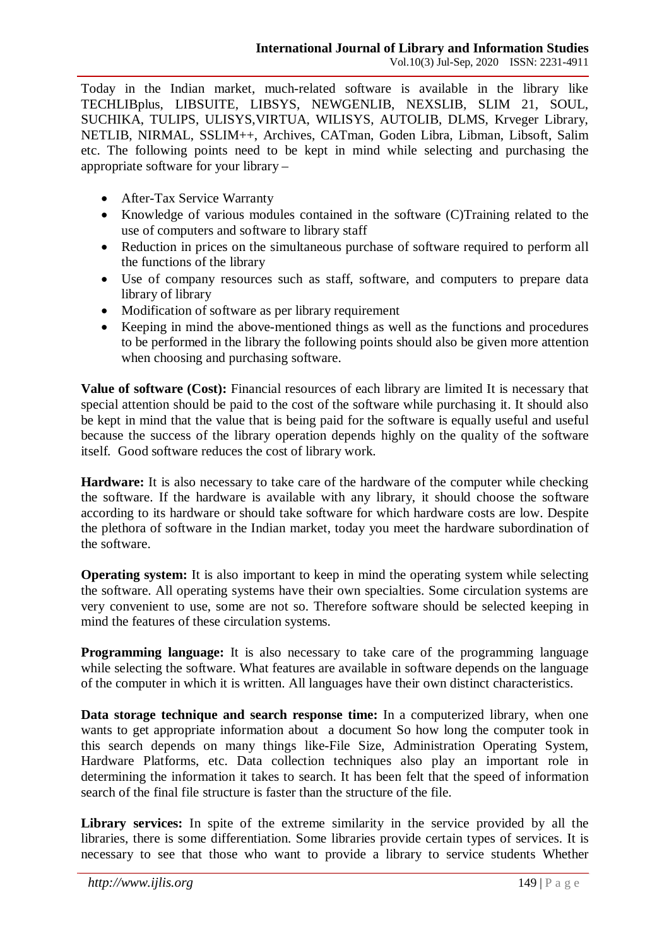Today in the Indian market, much-related software is available in the library like TECHLIBplus, LIBSUITE, LIBSYS, NEWGENLIB, NEXSLIB, SLIM 21, SOUL, SUCHIKA, TULIPS, ULISYS,VIRTUA, WILISYS, AUTOLIB, DLMS, Krveger Library, NETLIB, NIRMAL, SSLIM++, Archives, CATman, Goden Libra, Libman, Libsoft, Salim etc. The following points need to be kept in mind while selecting and purchasing the appropriate software for your library –

- After-Tax Service Warranty
- Knowledge of various modules contained in the software (C)Training related to the use of computers and software to library staff
- Reduction in prices on the simultaneous purchase of software required to perform all the functions of the library
- Use of company resources such as staff, software, and computers to prepare data library of library
- Modification of software as per library requirement
- Keeping in mind the above-mentioned things as well as the functions and procedures to be performed in the library the following points should also be given more attention when choosing and purchasing software.

**Value of software (Cost):** Financial resources of each library are limited It is necessary that special attention should be paid to the cost of the software while purchasing it. It should also be kept in mind that the value that is being paid for the software is equally useful and useful because the success of the library operation depends highly on the quality of the software itself. Good software reduces the cost of library work.

**Hardware:** It is also necessary to take care of the hardware of the computer while checking the software. If the hardware is available with any library, it should choose the software according to its hardware or should take software for which hardware costs are low. Despite the plethora of software in the Indian market, today you meet the hardware subordination of the software.

**Operating system:** It is also important to keep in mind the operating system while selecting the software. All operating systems have their own specialties. Some circulation systems are very convenient to use, some are not so. Therefore software should be selected keeping in mind the features of these circulation systems.

**Programming language:** It is also necessary to take care of the programming language while selecting the software. What features are available in software depends on the language of the computer in which it is written. All languages have their own distinct characteristics.

**Data storage technique and search response time:** In a computerized library, when one wants to get appropriate information about a document So how long the computer took in this search depends on many things like-File Size, Administration Operating System, Hardware Platforms, etc. Data collection techniques also play an important role in determining the information it takes to search. It has been felt that the speed of information search of the final file structure is faster than the structure of the file.

**Library services:** In spite of the extreme similarity in the service provided by all the libraries, there is some differentiation. Some libraries provide certain types of services. It is necessary to see that those who want to provide a library to service students Whether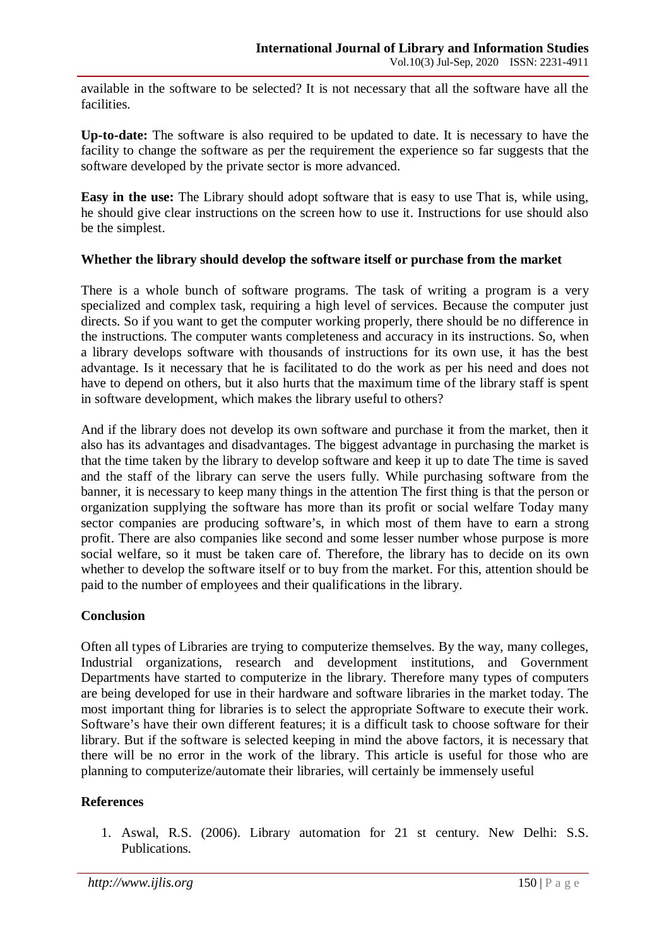available in the software to be selected? It is not necessary that all the software have all the facilities.

**Up-to-date:** The software is also required to be updated to date. It is necessary to have the facility to change the software as per the requirement the experience so far suggests that the software developed by the private sector is more advanced.

**Easy in the use:** The Library should adopt software that is easy to use That is, while using, he should give clear instructions on the screen how to use it. Instructions for use should also be the simplest.

## **Whether the library should develop the software itself or purchase from the market**

There is a whole bunch of software programs. The task of writing a program is a very specialized and complex task, requiring a high level of services. Because the computer just directs. So if you want to get the computer working properly, there should be no difference in the instructions. The computer wants completeness and accuracy in its instructions. So, when a library develops software with thousands of instructions for its own use, it has the best advantage. Is it necessary that he is facilitated to do the work as per his need and does not have to depend on others, but it also hurts that the maximum time of the library staff is spent in software development, which makes the library useful to others?

And if the library does not develop its own software and purchase it from the market, then it also has its advantages and disadvantages. The biggest advantage in purchasing the market is that the time taken by the library to develop software and keep it up to date The time is saved and the staff of the library can serve the users fully. While purchasing software from the banner, it is necessary to keep many things in the attention The first thing is that the person or organization supplying the software has more than its profit or social welfare Today many sector companies are producing software's, in which most of them have to earn a strong profit. There are also companies like second and some lesser number whose purpose is more social welfare, so it must be taken care of. Therefore, the library has to decide on its own whether to develop the software itself or to buy from the market. For this, attention should be paid to the number of employees and their qualifications in the library.

## **Conclusion**

Often all types of Libraries are trying to computerize themselves. By the way, many colleges, Industrial organizations, research and development institutions, and Government Departments have started to computerize in the library. Therefore many types of computers are being developed for use in their hardware and software libraries in the market today. The most important thing for libraries is to select the appropriate Software to execute their work. Software's have their own different features; it is a difficult task to choose software for their library. But if the software is selected keeping in mind the above factors, it is necessary that there will be no error in the work of the library. This article is useful for those who are planning to computerize/automate their libraries, will certainly be immensely useful

# **References**

1. Aswal, R.S. (2006). Library automation for 21 st century. New Delhi: S.S. Publications.